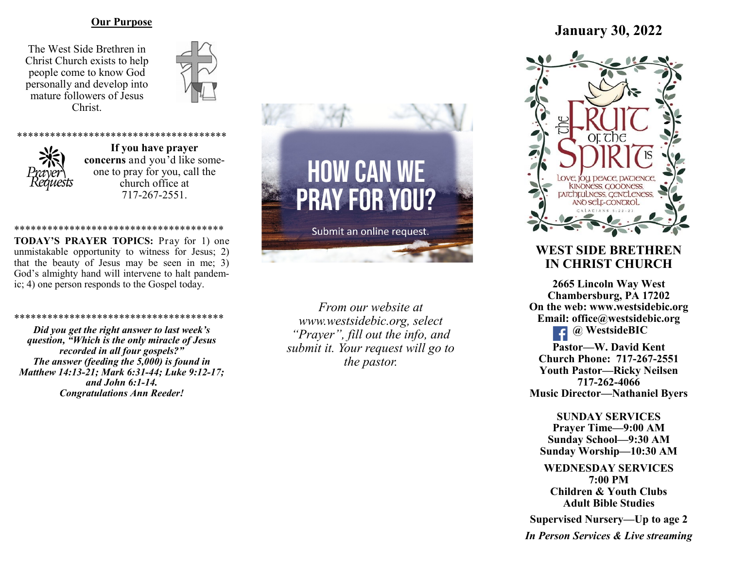### **Our Purpose**

The West Side Brethren in Christ Church exists to help people come to know God personally and develop into mature followers of Jesus Christ.





**If you have prayer concerns** and you'd like someone to pray for you, call the church office at 717-267-2551.

## \*\*\*\*\*\*\*\*\*\*\*\*\*\*\*\*\*\*\*\*\*\*\*\*\*\*\*\*\*\*\*\*\*\*\*\*\*\*

**TODAY'S PRAYER TOPICS:** Pray for 1) one unmistakable opportunity to witness for Jesus; 2) that the beauty of Jesus may be seen in me; 3) God's almighty hand will intervene to halt pandemic; 4) one person responds to the Gospel today.

#### \*\*\*\*\*\*\*\*\*\*\*\*\*\*\*\*\*\*\*\*\*\*\*\*\*\*

*Did you get the right answer to last week's question, "Which is the only miracle of Jesus recorded in all four gospels?" The answer (feeding the 5,000) is found in Matthew 14:13-21; Mark 6:31-44; Luke 9:12-17; and John 6:1-14. Congratulations Ann Reeder!*



*From our website at www.westsidebic.org, select "Prayer", fill out the info, and submit it. Your request will go to the pastor.*

# **January 30, 2022**



# **WEST SIDE BRETHREN IN CHRIST CHURCH**

**2665 Lincoln Way West Chambersburg, PA 17202 On the web: [www.westsidebic.org](http://www.westsidebic.org) Email: office@westsidebic.org @ WestsideBIC** 

**Pastor—W. David Kent Church Phone: 717-267-2551 Youth Pastor—Ricky Neilsen 717-262-4066 Music Director—Nathaniel Byers**

**SUNDAY SERVICES Prayer Time—9:00 AM Sunday School—9:30 AM Sunday Worship—10:30 AM**

**WEDNESDAY SERVICES 7:00 PM Children & Youth Clubs Adult Bible Studies**

**Supervised Nursery—Up to age 2**

*In Person Services & Live streaming*